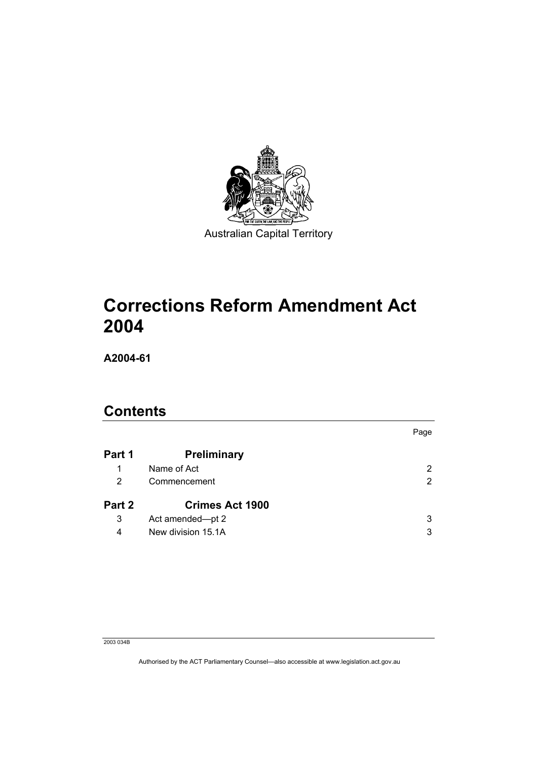

# **Corrections Reform Amendment Act 2004**

**A2004-61** 

## **Contents**

|        |                        | Page                  |
|--------|------------------------|-----------------------|
| Part 1 | Preliminary            |                       |
| 1      | Name of Act            | $\mathbf{2}^{\prime}$ |
| 2      | Commencement           | $\overline{2}$        |
| Part 2 | <b>Crimes Act 1900</b> |                       |
| 3      | Act amended-pt 2       | 3                     |
| 4      | New division 15.1A     | 3                     |

#### 2003 034B

Authorised by the ACT Parliamentary Counsel—also accessible at www.legislation.act.gov.au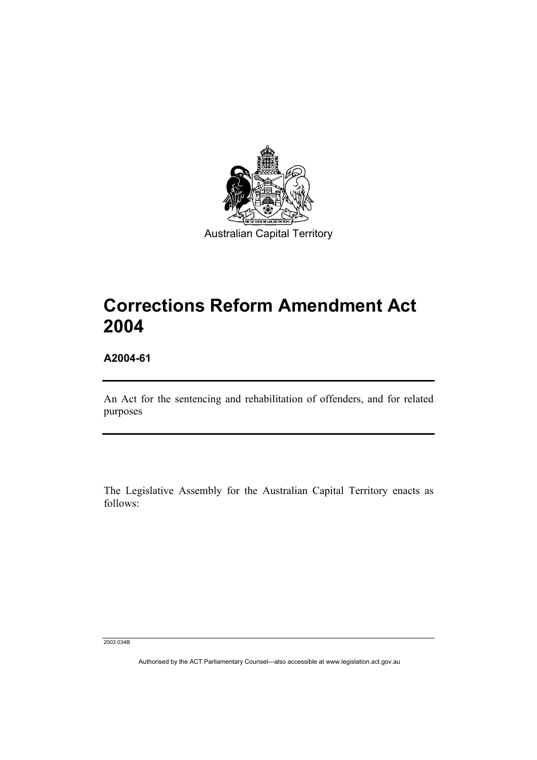

**Corrections Reform Amendment Act 2004** 

**A2004-61** 

An Act for the sentencing and rehabilitation of offenders, and for related purposes

The Legislative Assembly for the Australian Capital Territory enacts as follows:

2003 034B

Authorised by the ACT Parliamentary Counsel—also accessible at www.legislation.act.gov.au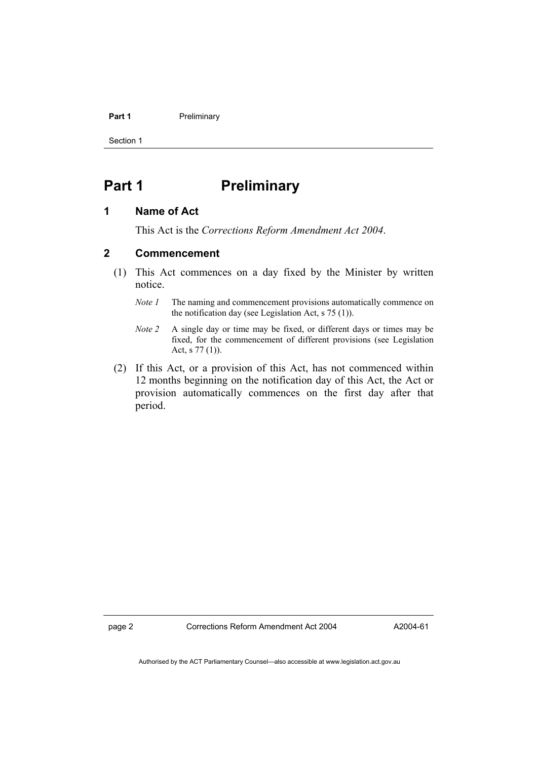#### **Part 1** Preliminary

Section 1

## **Part 1** Preliminary

#### **1 Name of Act**

This Act is the *Corrections Reform Amendment Act 2004*.

### **2 Commencement**

- (1) This Act commences on a day fixed by the Minister by written notice.
	- *Note 1* The naming and commencement provisions automatically commence on the notification day (see Legislation Act, s 75 (1)).
	- *Note 2* A single day or time may be fixed, or different days or times may be fixed, for the commencement of different provisions (see Legislation Act, s 77 (1)).
- (2) If this Act, or a provision of this Act, has not commenced within 12 months beginning on the notification day of this Act, the Act or provision automatically commences on the first day after that period.

page 2 Corrections Reform Amendment Act 2004

A2004-61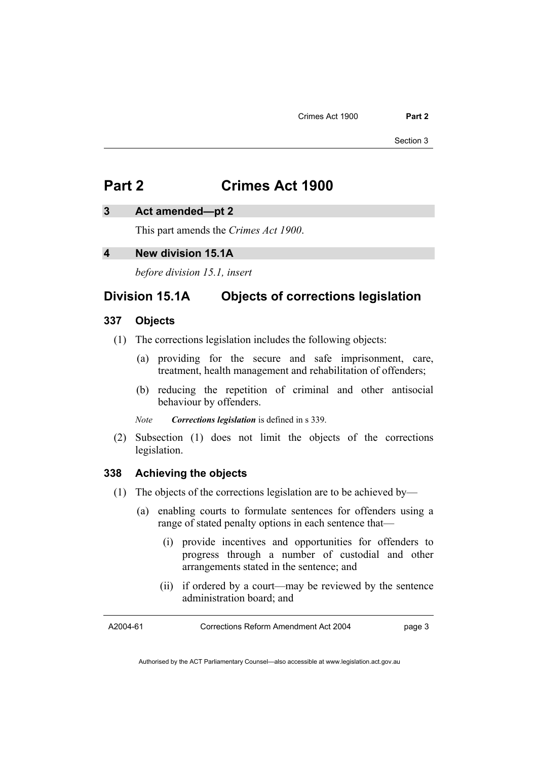Section 3

## **Part 2 Crimes Act 1900**

#### **3 Act amended—pt 2**

This part amends the *Crimes Act 1900*.

### **4 New division 15.1A**

*before division 15.1, insert* 

## **Division 15.1A Objects of corrections legislation**

### **337 Objects**

- (1) The corrections legislation includes the following objects:
	- (a) providing for the secure and safe imprisonment, care, treatment, health management and rehabilitation of offenders;
	- (b) reducing the repetition of criminal and other antisocial behaviour by offenders.

*Note Corrections legislation* is defined in s 339.

 (2) Subsection (1) does not limit the objects of the corrections legislation.

#### **338 Achieving the objects**

- (1) The objects of the corrections legislation are to be achieved by—
	- (a) enabling courts to formulate sentences for offenders using a range of stated penalty options in each sentence that—
		- (i) provide incentives and opportunities for offenders to progress through a number of custodial and other arrangements stated in the sentence; and
		- (ii) if ordered by a court—may be reviewed by the sentence administration board; and

A2004-61

Corrections Reform Amendment Act 2004

page 3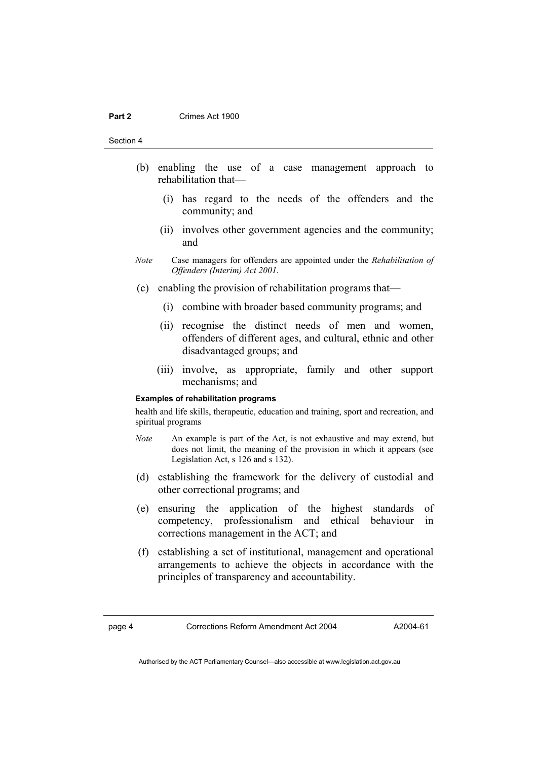#### **Part 2 Crimes Act 1900**

Section 4

- (b) enabling the use of a case management approach to rehabilitation that—
	- (i) has regard to the needs of the offenders and the community; and
	- (ii) involves other government agencies and the community; and
- *Note* Case managers for offenders are appointed under the *Rehabilitation of Offenders (Interim) Act 2001*.
- (c) enabling the provision of rehabilitation programs that—
	- (i) combine with broader based community programs; and
	- (ii) recognise the distinct needs of men and women, offenders of different ages, and cultural, ethnic and other disadvantaged groups; and
	- (iii) involve, as appropriate, family and other support mechanisms; and

#### **Examples of rehabilitation programs**

health and life skills, therapeutic, education and training, sport and recreation, and spiritual programs

- *Note* An example is part of the Act, is not exhaustive and may extend, but does not limit, the meaning of the provision in which it appears (see Legislation Act, s 126 and s 132).
- (d) establishing the framework for the delivery of custodial and other correctional programs; and
- (e) ensuring the application of the highest standards of competency, professionalism and ethical behaviour in corrections management in the ACT; and
- (f) establishing a set of institutional, management and operational arrangements to achieve the objects in accordance with the principles of transparency and accountability.

A2004-61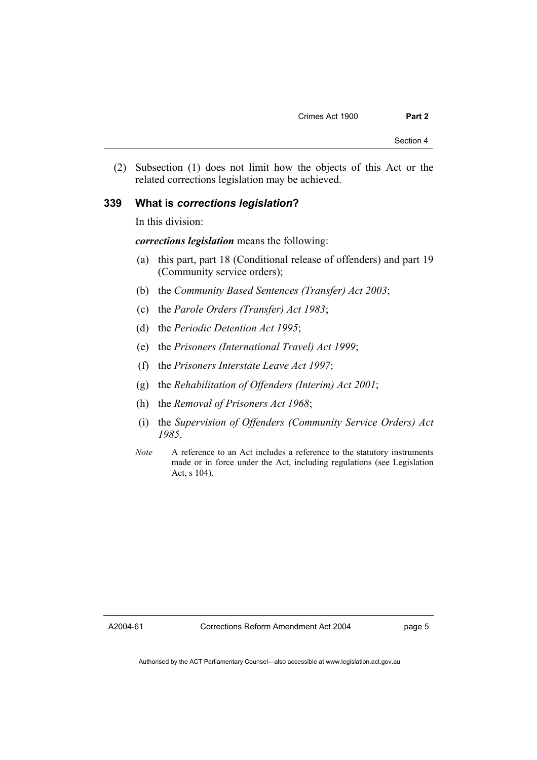(2) Subsection (1) does not limit how the objects of this Act or the related corrections legislation may be achieved.

#### **339 What is** *corrections legislation***?**

In this division:

*corrections legislation* means the following:

- (a) this part, part 18 (Conditional release of offenders) and part 19 (Community service orders);
- (b) the *Community Based Sentences (Transfer) Act 2003*;
- (c) the *Parole Orders (Transfer) Act 1983*;
- (d) the *Periodic Detention Act 1995*;
- (e) the *Prisoners (International Travel) Act 1999*;
- (f) the *Prisoners Interstate Leave Act 1997*;
- (g) the *Rehabilitation of Offenders (Interim) Act 2001*;
- (h) the *Removal of Prisoners Act 1968*;
- (i) the *Supervision of Offenders (Community Service Orders) Act 1985*.
- *Note* A reference to an Act includes a reference to the statutory instruments made or in force under the Act, including regulations (see Legislation Act, s 104).

A2004-61

page 5